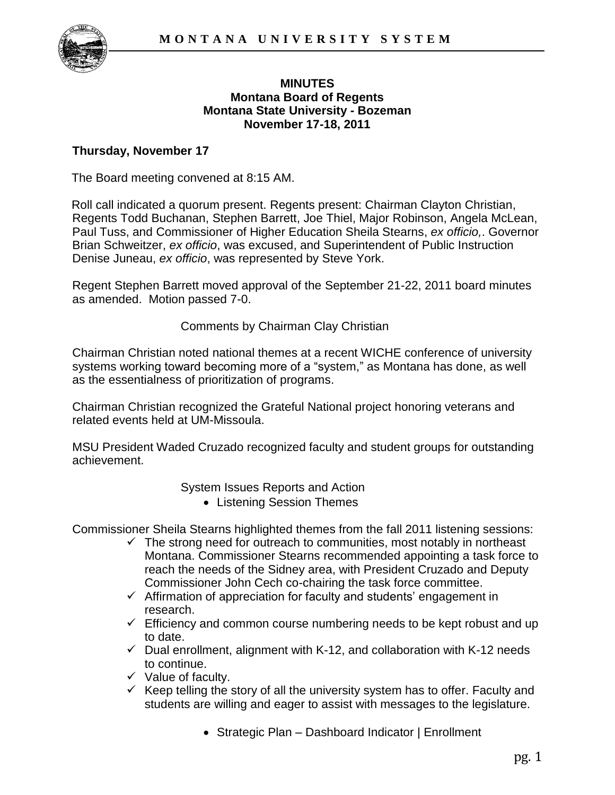

#### **MINUTES Montana Board of Regents Montana State University - Bozeman November 17-18, 2011**

#### **Thursday, November 17**

The Board meeting convened at 8:15 AM.

Roll call indicated a quorum present. Regents present: Chairman Clayton Christian, Regents Todd Buchanan, Stephen Barrett, Joe Thiel, Major Robinson, Angela McLean, Paul Tuss, and Commissioner of Higher Education Sheila Stearns, *ex officio,*. Governor Brian Schweitzer, *ex officio*, was excused, and Superintendent of Public Instruction Denise Juneau, *ex officio*, was represented by Steve York.

Regent Stephen Barrett moved approval of the September 21-22, 2011 board minutes as amended. Motion passed 7-0.

Comments by Chairman Clay Christian

Chairman Christian noted national themes at a recent WICHE conference of university systems working toward becoming more of a "system," as Montana has done, as well as the essentialness of prioritization of programs.

Chairman Christian recognized the Grateful National project honoring veterans and related events held at UM-Missoula.

MSU President Waded Cruzado recognized faculty and student groups for outstanding achievement.

System Issues Reports and Action

Listening Session Themes

Commissioner Sheila Stearns highlighted themes from the fall 2011 listening sessions:

- $\checkmark$  The strong need for outreach to communities, most notably in northeast Montana. Commissioner Stearns recommended appointing a task force to reach the needs of the Sidney area, with President Cruzado and Deputy Commissioner John Cech co-chairing the task force committee.
- $\checkmark$  Affirmation of appreciation for faculty and students' engagement in research.
- $\checkmark$  Efficiency and common course numbering needs to be kept robust and up to date.
- $\checkmark$  Dual enrollment, alignment with K-12, and collaboration with K-12 needs to continue.
- $\checkmark$  Value of faculty.
- $\checkmark$  Keep telling the story of all the university system has to offer. Faculty and students are willing and eager to assist with messages to the legislature.
	- Strategic Plan Dashboard Indicator | Enrollment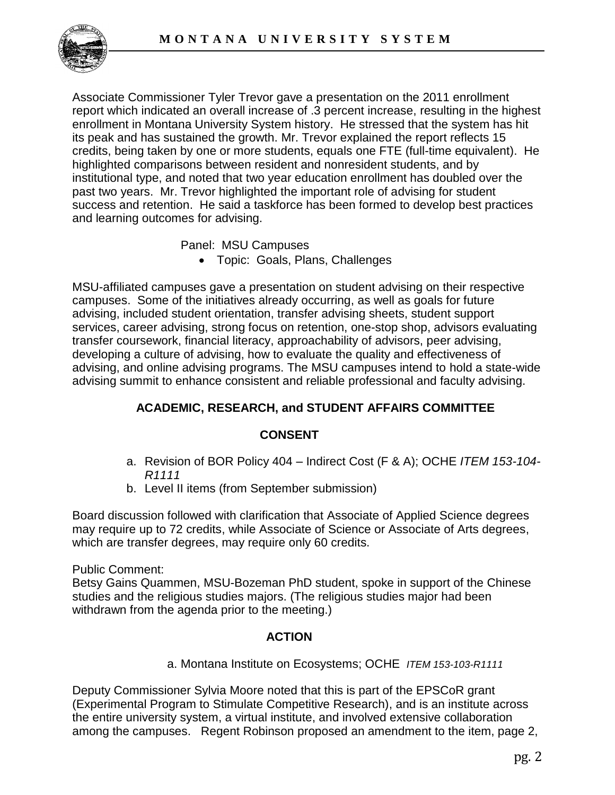

Associate Commissioner Tyler Trevor gave a presentation on the 2011 enrollment report which indicated an overall increase of .3 percent increase, resulting in the highest enrollment in Montana University System history. He stressed that the system has hit its peak and has sustained the growth. Mr. Trevor explained the report reflects 15 credits, being taken by one or more students, equals one FTE (full-time equivalent). He highlighted comparisons between resident and nonresident students, and by institutional type, and noted that two year education enrollment has doubled over the past two years. Mr. Trevor highlighted the important role of advising for student success and retention. He said a taskforce has been formed to develop best practices and learning outcomes for advising.

Panel: MSU Campuses

Topic: Goals, Plans, Challenges

MSU-affiliated campuses gave a presentation on student advising on their respective campuses. Some of the initiatives already occurring, as well as goals for future advising, included student orientation, transfer advising sheets, student support services, career advising, strong focus on retention, one-stop shop, advisors evaluating transfer coursework, financial literacy, approachability of advisors, peer advising, developing a culture of advising, how to evaluate the quality and effectiveness of advising, and online advising programs. The MSU campuses intend to hold a state-wide advising summit to enhance consistent and reliable professional and faculty advising.

# **ACADEMIC, RESEARCH, and STUDENT AFFAIRS COMMITTEE**

## **CONSENT**

- a. Revision of BOR Policy 404 Indirect Cost (F & A); OCHE *ITEM 153-104- R1111*
- b. Level II items (from September submission)

Board discussion followed with clarification that Associate of Applied Science degrees may require up to 72 credits, while Associate of Science or Associate of Arts degrees, which are transfer degrees, may require only 60 credits.

Public Comment:

Betsy Gains Quammen, MSU-Bozeman PhD student, spoke in support of the Chinese studies and the religious studies majors. (The religious studies major had been withdrawn from the agenda prior to the meeting.)

## **ACTION**

a. Montana Institute on Ecosystems; OCHE *ITEM 153-103-R1111* 

Deputy Commissioner Sylvia Moore noted that this is part of the EPSCoR grant (Experimental Program to Stimulate Competitive Research), and is an institute across the entire university system, a virtual institute, and involved extensive collaboration among the campuses. Regent Robinson proposed an amendment to the item, page 2,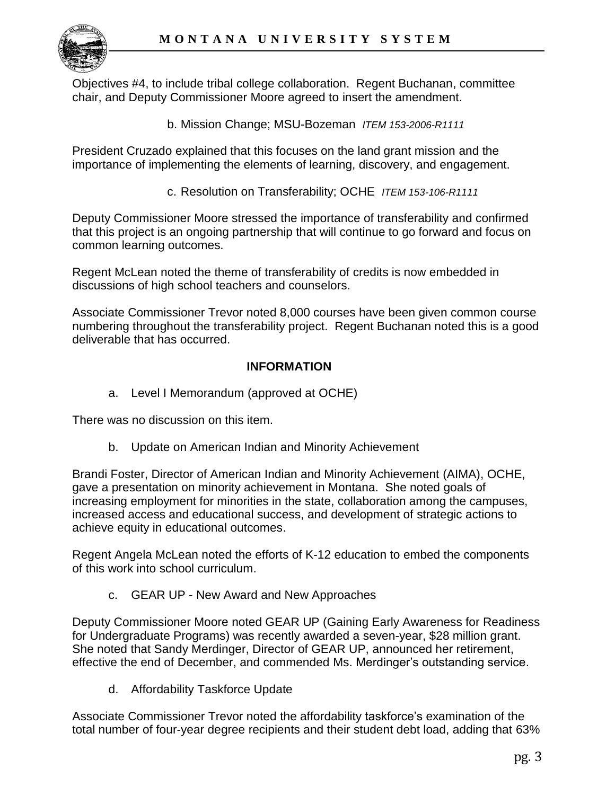

Objectives #4, to include tribal college collaboration. Regent Buchanan, committee chair, and Deputy Commissioner Moore agreed to insert the amendment.

b. Mission Change; MSU-Bozeman *ITEM 153-2006-R1111* 

President Cruzado explained that this focuses on the land grant mission and the importance of implementing the elements of learning, discovery, and engagement.

c. Resolution on Transferability; OCHE *ITEM 153-106-R1111*

Deputy Commissioner Moore stressed the importance of transferability and confirmed that this project is an ongoing partnership that will continue to go forward and focus on common learning outcomes.

Regent McLean noted the theme of transferability of credits is now embedded in discussions of high school teachers and counselors.

Associate Commissioner Trevor noted 8,000 courses have been given common course numbering throughout the transferability project. Regent Buchanan noted this is a good deliverable that has occurred.

## **INFORMATION**

a. Level I Memorandum (approved at OCHE)

There was no discussion on this item.

b. Update on American Indian and Minority Achievement

Brandi Foster, Director of American Indian and Minority Achievement (AIMA), OCHE, gave a presentation on minority achievement in Montana. She noted goals of increasing employment for minorities in the state, collaboration among the campuses, increased access and educational success, and development of strategic actions to achieve equity in educational outcomes.

Regent Angela McLean noted the efforts of K-12 education to embed the components of this work into school curriculum.

c. GEAR UP - New Award and New Approaches

Deputy Commissioner Moore noted GEAR UP (Gaining Early Awareness for Readiness for Undergraduate Programs) was recently awarded a seven-year, \$28 million grant. She noted that Sandy Merdinger, Director of GEAR UP, announced her retirement, effective the end of December, and commended Ms. Merdinger's outstanding service.

d. Affordability Taskforce Update

Associate Commissioner Trevor noted the affordability taskforce's examination of the total number of four-year degree recipients and their student debt load, adding that 63%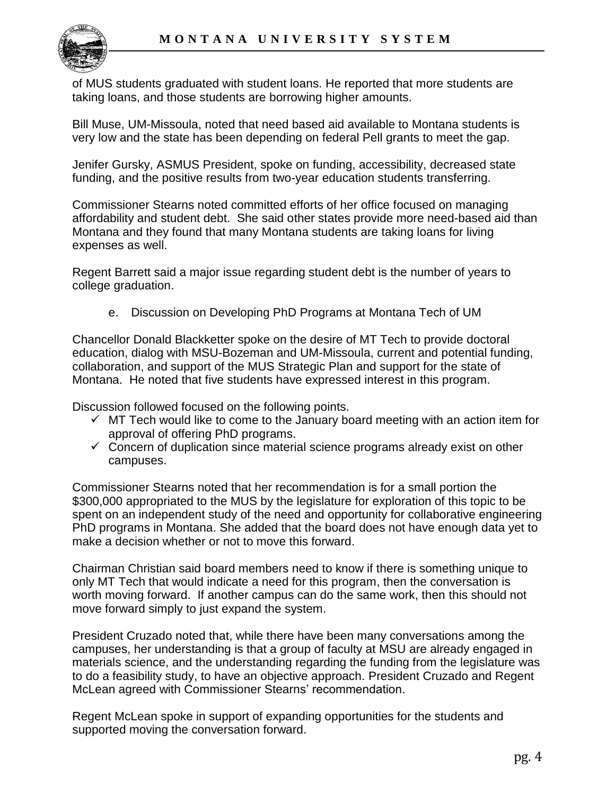

of MUS students graduated with student loans. He reported that more students are taking loans, and those students are borrowing higher amounts.

Bill Muse, UM-Missoula, noted that need based aid available to Montana students is very low and the state has been depending on federal Pell grants to meet the gap.

Jenifer Gursky, ASMUS President, spoke on funding, accessibility, decreased state funding, and the positive results from two-year education students transferring.

Commissioner Stearns noted committed efforts of her office focused on managing affordability and student debt. She said other states provide more need-based aid than Montana and they found that many Montana students are taking loans for living expenses as well.

Regent Barrett said a major issue regarding student debt is the number of years to college graduation.

e. Discussion on Developing PhD Programs at Montana Tech of UM

Chancellor Donald Blackketter spoke on the desire of MT Tech to provide doctoral education, dialog with MSU-Bozeman and UM-Missoula, current and potential funding, collaboration, and support of the MUS Strategic Plan and support for the state of Montana. He noted that five students have expressed interest in this program.

Discussion followed focused on the following points.

- $\checkmark$  MT Tech would like to come to the January board meeting with an action item for approval of offering PhD programs.
- $\checkmark$  Concern of duplication since material science programs already exist on other campuses.

Commissioner Stearns noted that her recommendation is for a small portion the \$300,000 appropriated to the MUS by the legislature for exploration of this topic to be spent on an independent study of the need and opportunity for collaborative engineering PhD programs in Montana. She added that the board does not have enough data yet to make a decision whether or not to move this forward.

Chairman Christian said board members need to know if there is something unique to only MT Tech that would indicate a need for this program, then the conversation is worth moving forward. If another campus can do the same work, then this should not move forward simply to just expand the system.

President Cruzado noted that, while there have been many conversations among the campuses, her understanding is that a group of faculty at MSU are already engaged in materials science, and the understanding regarding the funding from the legislature was to do a feasibility study, to have an objective approach. President Cruzado and Regent McLean agreed with Commissioner Stearns' recommendation.

Regent McLean spoke in support of expanding opportunities for the students and supported moving the conversation forward.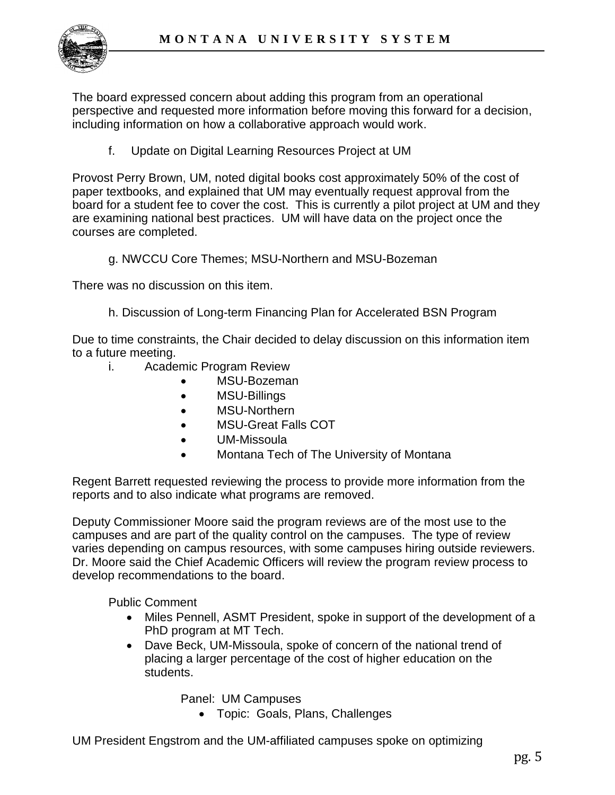

The board expressed concern about adding this program from an operational perspective and requested more information before moving this forward for a decision, including information on how a collaborative approach would work.

f. Update on Digital Learning Resources Project at UM

Provost Perry Brown, UM, noted digital books cost approximately 50% of the cost of paper textbooks, and explained that UM may eventually request approval from the board for a student fee to cover the cost. This is currently a pilot project at UM and they are examining national best practices. UM will have data on the project once the courses are completed.

g. NWCCU Core Themes; MSU-Northern and MSU-Bozeman

There was no discussion on this item.

h. Discussion of Long-term Financing Plan for Accelerated BSN Program

Due to time constraints, the Chair decided to delay discussion on this information item to a future meeting.

- i. Academic Program Review
	- MSU-Bozeman
	- MSU-Billings
	- MSU-Northern
	- MSU-Great Falls COT
	- UM-Missoula
	- Montana Tech of The University of Montana

Regent Barrett requested reviewing the process to provide more information from the reports and to also indicate what programs are removed.

Deputy Commissioner Moore said the program reviews are of the most use to the campuses and are part of the quality control on the campuses. The type of review varies depending on campus resources, with some campuses hiring outside reviewers. Dr. Moore said the Chief Academic Officers will review the program review process to develop recommendations to the board.

Public Comment

- Miles Pennell, ASMT President, spoke in support of the development of a PhD program at MT Tech.
- Dave Beck, UM-Missoula, spoke of concern of the national trend of placing a larger percentage of the cost of higher education on the students.

Panel: UM Campuses

Topic: Goals, Plans, Challenges

UM President Engstrom and the UM-affiliated campuses spoke on optimizing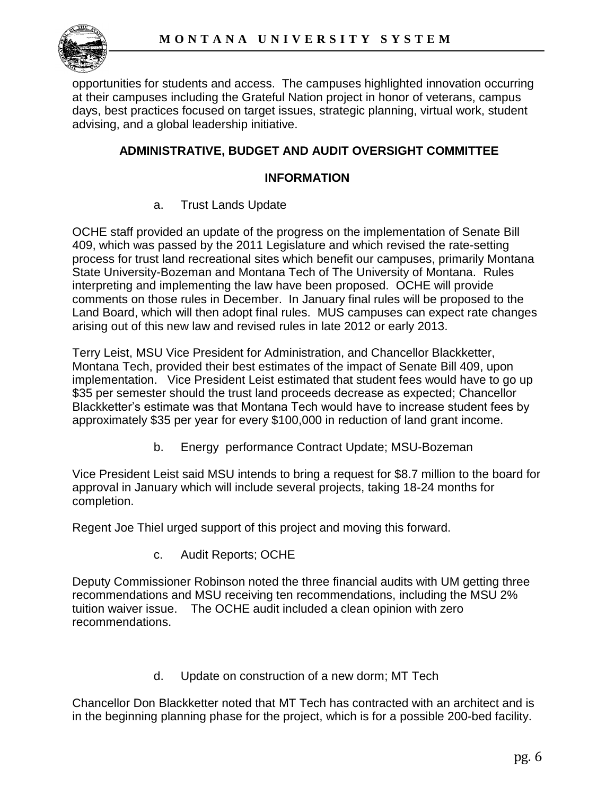

opportunities for students and access. The campuses highlighted innovation occurring at their campuses including the Grateful Nation project in honor of veterans, campus days, best practices focused on target issues, strategic planning, virtual work, student advising, and a global leadership initiative.

## **ADMINISTRATIVE, BUDGET AND AUDIT OVERSIGHT COMMITTEE**

### **INFORMATION**

a. Trust Lands Update

OCHE staff provided an update of the progress on the implementation of Senate Bill 409, which was passed by the 2011 Legislature and which revised the rate-setting process for trust land recreational sites which benefit our campuses, primarily Montana State University-Bozeman and Montana Tech of The University of Montana. Rules interpreting and implementing the law have been proposed. OCHE will provide comments on those rules in December. In January final rules will be proposed to the Land Board, which will then adopt final rules. MUS campuses can expect rate changes arising out of this new law and revised rules in late 2012 or early 2013.

Terry Leist, MSU Vice President for Administration, and Chancellor Blackketter, Montana Tech, provided their best estimates of the impact of Senate Bill 409, upon implementation. Vice President Leist estimated that student fees would have to go up \$35 per semester should the trust land proceeds decrease as expected; Chancellor Blackketter's estimate was that Montana Tech would have to increase student fees by approximately \$35 per year for every \$100,000 in reduction of land grant income.

b. Energy performance Contract Update; MSU-Bozeman

Vice President Leist said MSU intends to bring a request for \$8.7 million to the board for approval in January which will include several projects, taking 18-24 months for completion.

Regent Joe Thiel urged support of this project and moving this forward.

c. Audit Reports; OCHE

Deputy Commissioner Robinson noted the three financial audits with UM getting three recommendations and MSU receiving ten recommendations, including the MSU 2% tuition waiver issue. The OCHE audit included a clean opinion with zero recommendations.

d. Update on construction of a new dorm; MT Tech

Chancellor Don Blackketter noted that MT Tech has contracted with an architect and is in the beginning planning phase for the project, which is for a possible 200-bed facility.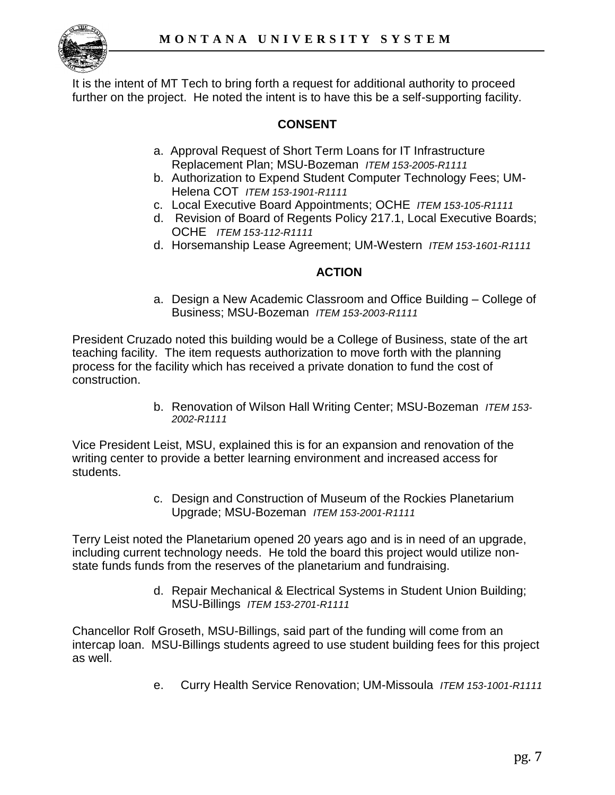

It is the intent of MT Tech to bring forth a request for additional authority to proceed further on the project. He noted the intent is to have this be a self-supporting facility.

# **CONSENT**

- a. Approval Request of Short Term Loans for IT Infrastructure Replacement Plan; MSU-Bozeman *ITEM 153-2005-R1111*
- b. Authorization to Expend Student Computer Technology Fees; UM-Helena COT *ITEM 153-1901-R1111*
- c. Local Executive Board Appointments; OCHE *ITEM 153-105-R1111*
- d. Revision of Board of Regents Policy 217.1, Local Executive Boards; OCHE *ITEM 153-112-R1111*
- d. Horsemanship Lease Agreement; UM-Western *ITEM 153-1601-R1111*

#### **ACTION**

a. Design a New Academic Classroom and Office Building – College of Business; MSU-Bozeman *ITEM 153-2003-R1111*

President Cruzado noted this building would be a College of Business, state of the art teaching facility. The item requests authorization to move forth with the planning process for the facility which has received a private donation to fund the cost of construction.

> b. Renovation of Wilson Hall Writing Center; MSU-Bozeman *ITEM 153- 2002-R1111*

Vice President Leist, MSU, explained this is for an expansion and renovation of the writing center to provide a better learning environment and increased access for students.

> c. Design and Construction of Museum of the Rockies Planetarium Upgrade; MSU-Bozeman *ITEM 153-2001-R1111*

Terry Leist noted the Planetarium opened 20 years ago and is in need of an upgrade, including current technology needs. He told the board this project would utilize nonstate funds funds from the reserves of the planetarium and fundraising.

> d. Repair Mechanical & Electrical Systems in Student Union Building; MSU-Billings *ITEM 153-2701-R1111*

Chancellor Rolf Groseth, MSU-Billings, said part of the funding will come from an intercap loan. MSU-Billings students agreed to use student building fees for this project as well.

e. Curry Health Service Renovation; UM-Missoula *ITEM 153-1001-R1111*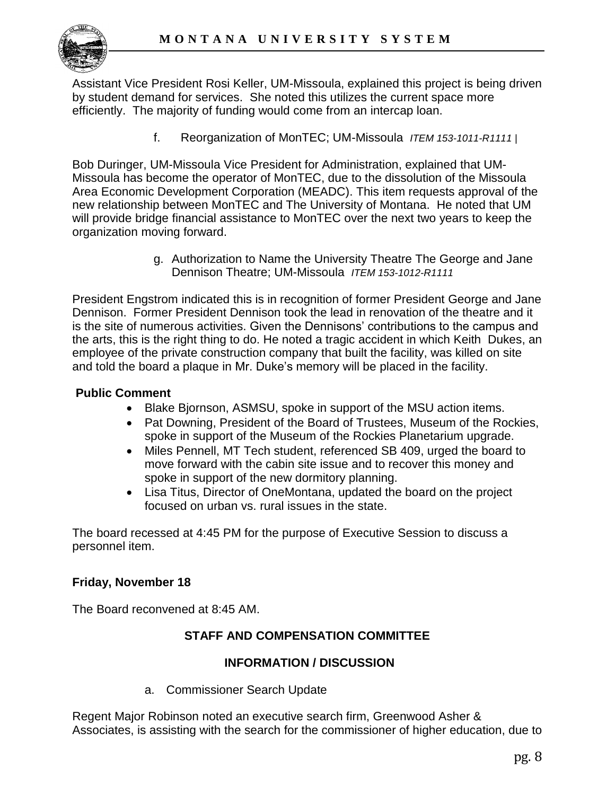

Assistant Vice President Rosi Keller, UM-Missoula, explained this project is being driven by student demand for services. She noted this utilizes the current space more efficiently. The majority of funding would come from an intercap loan.

f. Reorganization of MonTEC; UM-Missoula *ITEM 153-1011-R1111 |* 

Bob Duringer, UM-Missoula Vice President for Administration, explained that UM-Missoula has become the operator of MonTEC, due to the dissolution of the Missoula Area Economic Development Corporation (MEADC). This item requests approval of the new relationship between MonTEC and The University of Montana. He noted that UM will provide bridge financial assistance to MonTEC over the next two years to keep the organization moving forward.

> g. Authorization to Name the University Theatre The George and Jane Dennison Theatre; UM-Missoula *ITEM 153-1012-R1111*

President Engstrom indicated this is in recognition of former President George and Jane Dennison. Former President Dennison took the lead in renovation of the theatre and it is the site of numerous activities. Given the Dennisons' contributions to the campus and the arts, this is the right thing to do. He noted a tragic accident in which Keith Dukes, an employee of the private construction company that built the facility, was killed on site and told the board a plaque in Mr. Duke's memory will be placed in the facility.

### **Public Comment**

- Blake Bjornson, ASMSU, spoke in support of the MSU action items.
- Pat Downing, President of the Board of Trustees, Museum of the Rockies, spoke in support of the Museum of the Rockies Planetarium upgrade.
- Miles Pennell, MT Tech student, referenced SB 409, urged the board to move forward with the cabin site issue and to recover this money and spoke in support of the new dormitory planning.
- Lisa Titus, Director of OneMontana, updated the board on the project focused on urban vs. rural issues in the state.

The board recessed at 4:45 PM for the purpose of Executive Session to discuss a personnel item.

#### **Friday, November 18**

The Board reconvened at 8:45 AM.

## **STAFF AND COMPENSATION COMMITTEE**

#### **INFORMATION / DISCUSSION**

a. Commissioner Search Update

Regent Major Robinson noted an executive search firm, Greenwood Asher & Associates, is assisting with the search for the commissioner of higher education, due to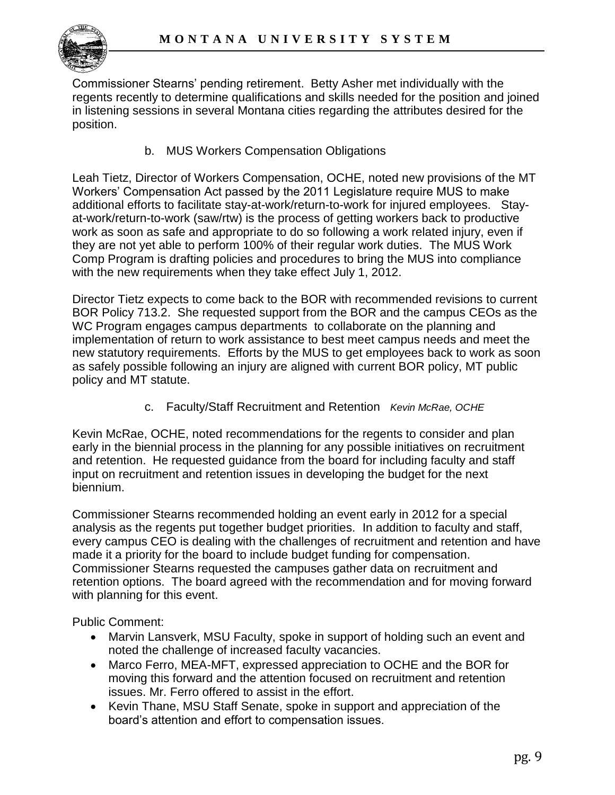

Commissioner Stearns' pending retirement. Betty Asher met individually with the regents recently to determine qualifications and skills needed for the position and joined in listening sessions in several Montana cities regarding the attributes desired for the position.

b. MUS Workers Compensation Obligations

Leah Tietz, Director of Workers Compensation, OCHE, noted new provisions of the MT Workers' Compensation Act passed by the 2011 Legislature require MUS to make additional efforts to facilitate stay-at-work/return-to-work for injured employees. Stayat-work/return-to-work (saw/rtw) is the process of getting workers back to productive work as soon as safe and appropriate to do so following a work related injury, even if they are not yet able to perform 100% of their regular work duties. The MUS Work Comp Program is drafting policies and procedures to bring the MUS into compliance with the new requirements when they take effect July 1, 2012.

Director Tietz expects to come back to the BOR with recommended revisions to current BOR Policy 713.2. She requested support from the BOR and the campus CEOs as the WC Program engages campus departments to collaborate on the planning and implementation of return to work assistance to best meet campus needs and meet the new statutory requirements. Efforts by the MUS to get employees back to work as soon as safely possible following an injury are aligned with current BOR policy, MT public policy and MT statute.

c. Faculty/Staff Recruitment and Retention *Kevin McRae, OCHE*

Kevin McRae, OCHE, noted recommendations for the regents to consider and plan early in the biennial process in the planning for any possible initiatives on recruitment and retention. He requested guidance from the board for including faculty and staff input on recruitment and retention issues in developing the budget for the next biennium.

Commissioner Stearns recommended holding an event early in 2012 for a special analysis as the regents put together budget priorities. In addition to faculty and staff, every campus CEO is dealing with the challenges of recruitment and retention and have made it a priority for the board to include budget funding for compensation. Commissioner Stearns requested the campuses gather data on recruitment and retention options. The board agreed with the recommendation and for moving forward with planning for this event.

Public Comment:

- Marvin Lansverk, MSU Faculty, spoke in support of holding such an event and noted the challenge of increased faculty vacancies.
- Marco Ferro, MEA-MFT, expressed appreciation to OCHE and the BOR for moving this forward and the attention focused on recruitment and retention issues. Mr. Ferro offered to assist in the effort.
- Kevin Thane, MSU Staff Senate, spoke in support and appreciation of the board's attention and effort to compensation issues.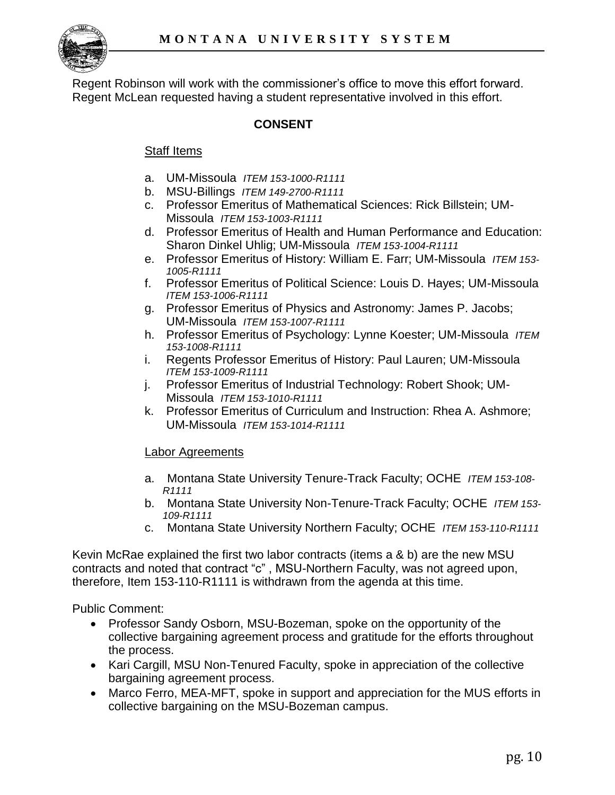

Regent Robinson will work with the commissioner's office to move this effort forward. Regent McLean requested having a student representative involved in this effort.

## **CONSENT**

#### Staff Items

- a. UM-Missoula *ITEM 153-1000-R1111*
- b. MSU-Billings *ITEM 149-2700-R1111*
- c. Professor Emeritus of Mathematical Sciences: Rick Billstein; UM-Missoula *ITEM 153-1003-R1111*
- d. Professor Emeritus of Health and Human Performance and Education: Sharon Dinkel Uhlig; UM-Missoula *ITEM 153-1004-R1111*
- e. Professor Emeritus of History: William E. Farr; UM-Missoula *ITEM 153- 1005-R1111*
- f. Professor Emeritus of Political Science: Louis D. Hayes; UM-Missoula *ITEM 153-1006-R1111*
- g. Professor Emeritus of Physics and Astronomy: James P. Jacobs; UM-Missoula *ITEM 153-1007-R1111*
- h. Professor Emeritus of Psychology: Lynne Koester; UM-Missoula *ITEM 153-1008-R1111*
- i. Regents Professor Emeritus of History: Paul Lauren; UM-Missoula *ITEM 153-1009-R1111*
- j. Professor Emeritus of Industrial Technology: Robert Shook; UM-Missoula *ITEM 153-1010-R1111*
- k. Professor Emeritus of Curriculum and Instruction: Rhea A. Ashmore; UM-Missoula *ITEM 153-1014-R1111*

#### Labor Agreements

- a. Montana State University Tenure-Track Faculty; OCHE *ITEM 153-108- R1111*
- b. Montana State University Non-Tenure-Track Faculty; OCHE *ITEM 153- 109-R1111*
- c. Montana State University Northern Faculty; OCHE *ITEM 153-110-R1111*

Kevin McRae explained the first two labor contracts (items a & b) are the new MSU contracts and noted that contract "c" , MSU-Northern Faculty, was not agreed upon, therefore, Item 153-110-R1111 is withdrawn from the agenda at this time.

Public Comment:

- Professor Sandy Osborn, MSU-Bozeman, spoke on the opportunity of the collective bargaining agreement process and gratitude for the efforts throughout the process.
- Kari Cargill, MSU Non-Tenured Faculty, spoke in appreciation of the collective bargaining agreement process.
- Marco Ferro, MEA-MFT, spoke in support and appreciation for the MUS efforts in collective bargaining on the MSU-Bozeman campus.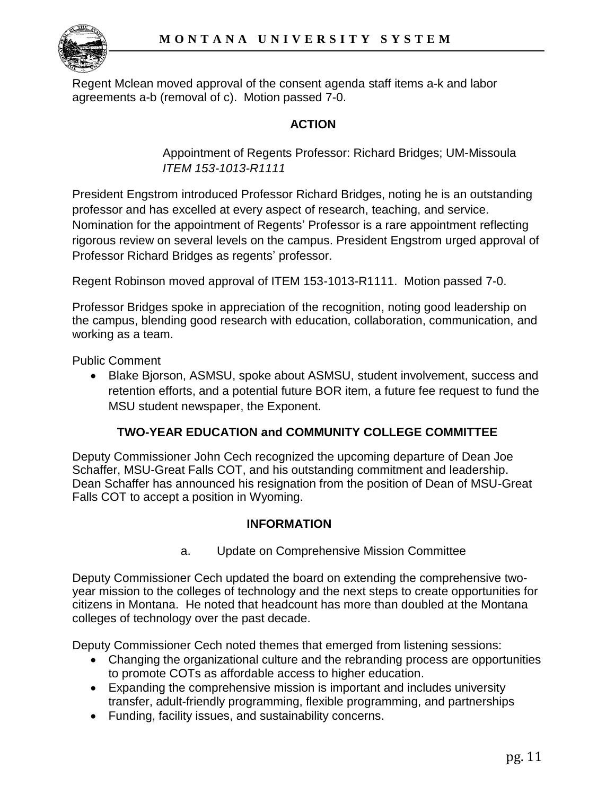

Regent Mclean moved approval of the consent agenda staff items a-k and labor agreements a-b (removal of c). Motion passed 7-0.

## **ACTION**

Appointment of Regents Professor: Richard Bridges; UM-Missoula *ITEM 153-1013-R1111* 

President Engstrom introduced Professor Richard Bridges, noting he is an outstanding professor and has excelled at every aspect of research, teaching, and service. Nomination for the appointment of Regents' Professor is a rare appointment reflecting rigorous review on several levels on the campus. President Engstrom urged approval of Professor Richard Bridges as regents' professor.

Regent Robinson moved approval of ITEM 153-1013-R1111. Motion passed 7-0.

Professor Bridges spoke in appreciation of the recognition, noting good leadership on the campus, blending good research with education, collaboration, communication, and working as a team.

Public Comment

 Blake Bjorson, ASMSU, spoke about ASMSU, student involvement, success and retention efforts, and a potential future BOR item, a future fee request to fund the MSU student newspaper, the Exponent.

## **TWO-YEAR EDUCATION and COMMUNITY COLLEGE COMMITTEE**

Deputy Commissioner John Cech recognized the upcoming departure of Dean Joe Schaffer, MSU-Great Falls COT, and his outstanding commitment and leadership. Dean Schaffer has announced his resignation from the position of Dean of MSU-Great Falls COT to accept a position in Wyoming.

#### **INFORMATION**

a. Update on Comprehensive Mission Committee

Deputy Commissioner Cech updated the board on extending the comprehensive twoyear mission to the colleges of technology and the next steps to create opportunities for citizens in Montana. He noted that headcount has more than doubled at the Montana colleges of technology over the past decade.

Deputy Commissioner Cech noted themes that emerged from listening sessions:

- Changing the organizational culture and the rebranding process are opportunities to promote COTs as affordable access to higher education.
- Expanding the comprehensive mission is important and includes university transfer, adult-friendly programming, flexible programming, and partnerships
- Funding, facility issues, and sustainability concerns.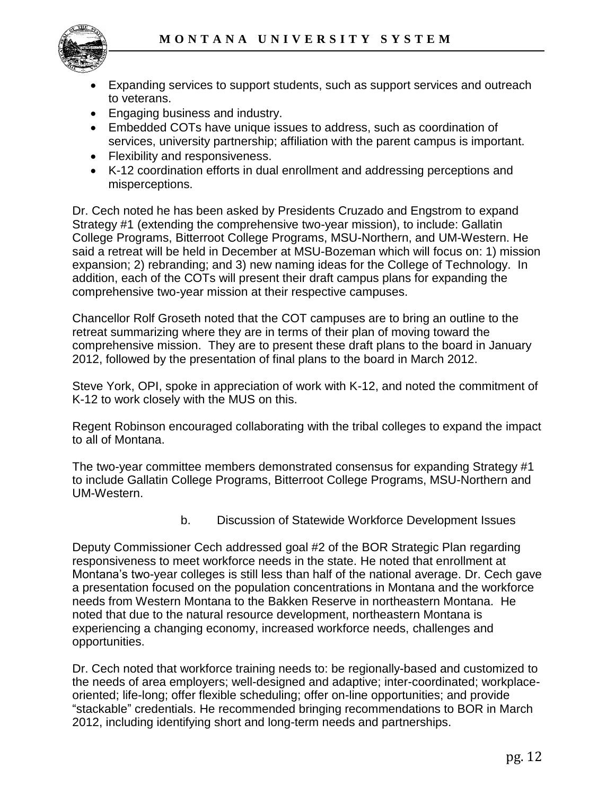

- Expanding services to support students, such as support services and outreach to veterans.
- Engaging business and industry.
- Embedded COTs have unique issues to address, such as coordination of services, university partnership; affiliation with the parent campus is important.
- Flexibility and responsiveness.
- K-12 coordination efforts in dual enrollment and addressing perceptions and misperceptions.

Dr. Cech noted he has been asked by Presidents Cruzado and Engstrom to expand Strategy #1 (extending the comprehensive two-year mission), to include: Gallatin College Programs, Bitterroot College Programs, MSU-Northern, and UM-Western. He said a retreat will be held in December at MSU-Bozeman which will focus on: 1) mission expansion; 2) rebranding; and 3) new naming ideas for the College of Technology. In addition, each of the COTs will present their draft campus plans for expanding the comprehensive two-year mission at their respective campuses.

Chancellor Rolf Groseth noted that the COT campuses are to bring an outline to the retreat summarizing where they are in terms of their plan of moving toward the comprehensive mission. They are to present these draft plans to the board in January 2012, followed by the presentation of final plans to the board in March 2012.

Steve York, OPI, spoke in appreciation of work with K-12, and noted the commitment of K-12 to work closely with the MUS on this.

Regent Robinson encouraged collaborating with the tribal colleges to expand the impact to all of Montana.

The two-year committee members demonstrated consensus for expanding Strategy #1 to include Gallatin College Programs, Bitterroot College Programs, MSU-Northern and UM-Western.

b. Discussion of Statewide Workforce Development Issues

Deputy Commissioner Cech addressed goal #2 of the BOR Strategic Plan regarding responsiveness to meet workforce needs in the state. He noted that enrollment at Montana's two-year colleges is still less than half of the national average. Dr. Cech gave a presentation focused on the population concentrations in Montana and the workforce needs from Western Montana to the Bakken Reserve in northeastern Montana. He noted that due to the natural resource development, northeastern Montana is experiencing a changing economy, increased workforce needs, challenges and opportunities.

Dr. Cech noted that workforce training needs to: be regionally-based and customized to the needs of area employers; well-designed and adaptive; inter-coordinated; workplaceoriented; life-long; offer flexible scheduling; offer on-line opportunities; and provide "stackable" credentials. He recommended bringing recommendations to BOR in March 2012, including identifying short and long-term needs and partnerships.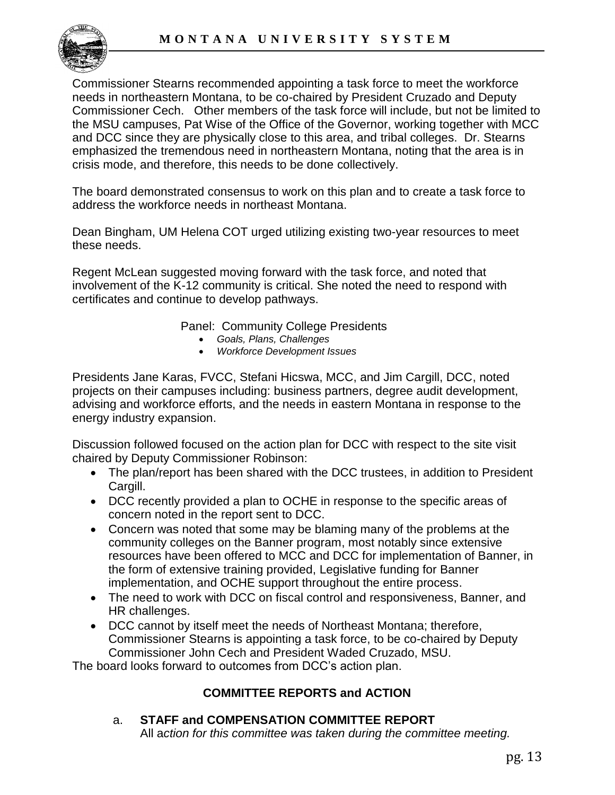

Commissioner Stearns recommended appointing a task force to meet the workforce needs in northeastern Montana, to be co-chaired by President Cruzado and Deputy Commissioner Cech. Other members of the task force will include, but not be limited to the MSU campuses, Pat Wise of the Office of the Governor, working together with MCC and DCC since they are physically close to this area, and tribal colleges. Dr. Stearns emphasized the tremendous need in northeastern Montana, noting that the area is in crisis mode, and therefore, this needs to be done collectively.

The board demonstrated consensus to work on this plan and to create a task force to address the workforce needs in northeast Montana.

Dean Bingham, UM Helena COT urged utilizing existing two-year resources to meet these needs.

Regent McLean suggested moving forward with the task force, and noted that involvement of the K-12 community is critical. She noted the need to respond with certificates and continue to develop pathways.

Panel: Community College Presidents

- *Goals, Plans, Challenges*
- *Workforce Development Issues*

Presidents Jane Karas, FVCC, Stefani Hicswa, MCC, and Jim Cargill, DCC, noted projects on their campuses including: business partners, degree audit development, advising and workforce efforts, and the needs in eastern Montana in response to the energy industry expansion.

Discussion followed focused on the action plan for DCC with respect to the site visit chaired by Deputy Commissioner Robinson:

- The plan/report has been shared with the DCC trustees, in addition to President Cargill.
- DCC recently provided a plan to OCHE in response to the specific areas of concern noted in the report sent to DCC.
- Concern was noted that some may be blaming many of the problems at the community colleges on the Banner program, most notably since extensive resources have been offered to MCC and DCC for implementation of Banner, in the form of extensive training provided, Legislative funding for Banner implementation, and OCHE support throughout the entire process.
- The need to work with DCC on fiscal control and responsiveness, Banner, and HR challenges.
- DCC cannot by itself meet the needs of Northeast Montana; therefore, Commissioner Stearns is appointing a task force, to be co-chaired by Deputy Commissioner John Cech and President Waded Cruzado, MSU.

The board looks forward to outcomes from DCC's action plan.

## **COMMITTEE REPORTS and ACTION**

#### a. **STAFF and COMPENSATION COMMITTEE REPORT**

All a*ction for this committee was taken during the committee meeting.*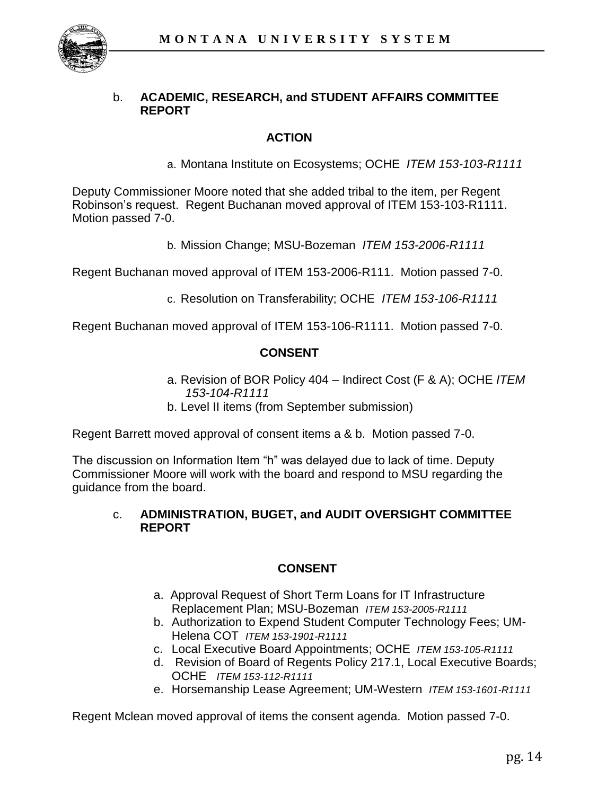

#### b. **ACADEMIC, RESEARCH, and STUDENT AFFAIRS COMMITTEE REPORT**

#### **ACTION**

a. Montana Institute on Ecosystems; OCHE *ITEM 153-103-R1111* 

Deputy Commissioner Moore noted that she added tribal to the item, per Regent Robinson's request. Regent Buchanan moved approval of ITEM 153-103-R1111. Motion passed 7-0.

b. Mission Change; MSU-Bozeman *ITEM 153-2006-R1111* 

Regent Buchanan moved approval of ITEM 153-2006-R111. Motion passed 7-0.

c. Resolution on Transferability; OCHE *ITEM 153-106-R1111*

Regent Buchanan moved approval of ITEM 153-106-R1111. Motion passed 7-0.

#### **CONSENT**

- a. Revision of BOR Policy 404 Indirect Cost (F & A); OCHE *ITEM 153-104-R1111*
- b. Level II items (from September submission)

Regent Barrett moved approval of consent items a & b. Motion passed 7-0.

The discussion on Information Item "h" was delayed due to lack of time. Deputy Commissioner Moore will work with the board and respond to MSU regarding the guidance from the board.

#### c. **ADMINISTRATION, BUGET, and AUDIT OVERSIGHT COMMITTEE REPORT**

#### **CONSENT**

- a. Approval Request of Short Term Loans for IT Infrastructure Replacement Plan; MSU-Bozeman *ITEM 153-2005-R1111*
- b. Authorization to Expend Student Computer Technology Fees; UM-Helena COT *ITEM 153-1901-R1111*
- c. Local Executive Board Appointments; OCHE *ITEM 153-105-R1111*
- d. Revision of Board of Regents Policy 217.1, Local Executive Boards; OCHE *ITEM 153-112-R1111*
- e. Horsemanship Lease Agreement; UM-Western *ITEM 153-1601-R1111*

Regent Mclean moved approval of items the consent agenda. Motion passed 7-0.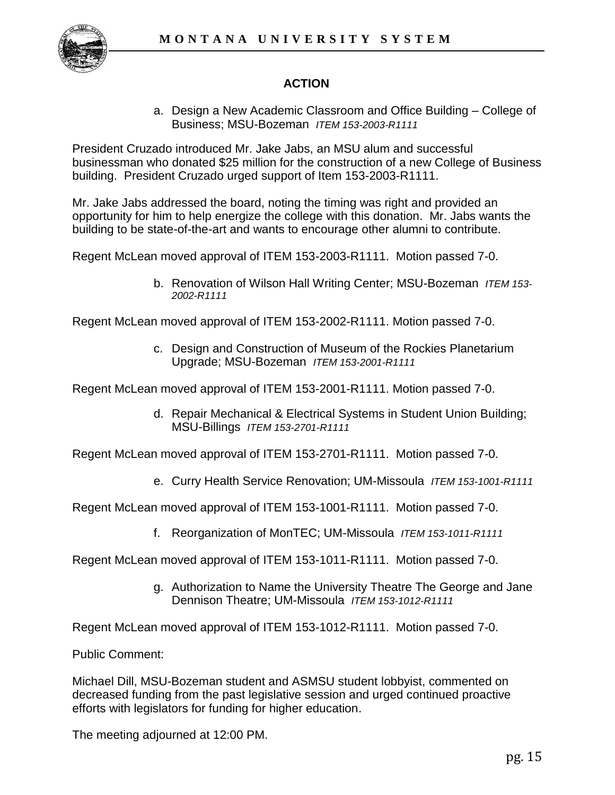

## **ACTION**

a. Design a New Academic Classroom and Office Building – College of Business; MSU-Bozeman *ITEM 153-2003-R1111*

President Cruzado introduced Mr. Jake Jabs, an MSU alum and successful businessman who donated \$25 million for the construction of a new College of Business building. President Cruzado urged support of Item 153-2003-R1111.

Mr. Jake Jabs addressed the board, noting the timing was right and provided an opportunity for him to help energize the college with this donation. Mr. Jabs wants the building to be state-of-the-art and wants to encourage other alumni to contribute.

Regent McLean moved approval of ITEM 153-2003-R1111. Motion passed 7-0.

b. Renovation of Wilson Hall Writing Center; MSU-Bozeman *ITEM 153- 2002-R1111*

Regent McLean moved approval of ITEM 153-2002-R1111. Motion passed 7-0.

c. Design and Construction of Museum of the Rockies Planetarium Upgrade; MSU-Bozeman *ITEM 153-2001-R1111*

Regent McLean moved approval of ITEM 153-2001-R1111. Motion passed 7-0.

d. Repair Mechanical & Electrical Systems in Student Union Building; MSU-Billings *ITEM 153-2701-R1111*

Regent McLean moved approval of ITEM 153-2701-R1111. Motion passed 7-0.

e. Curry Health Service Renovation; UM-Missoula *ITEM 153-1001-R1111*

Regent McLean moved approval of ITEM 153-1001-R1111. Motion passed 7-0.

f. Reorganization of MonTEC; UM-Missoula *ITEM 153-1011-R1111* 

Regent McLean moved approval of ITEM 153-1011-R1111. Motion passed 7-0.

g. Authorization to Name the University Theatre The George and Jane Dennison Theatre; UM-Missoula *ITEM 153-1012-R1111*

Regent McLean moved approval of ITEM 153-1012-R1111. Motion passed 7-0.

Public Comment:

Michael Dill, MSU-Bozeman student and ASMSU student lobbyist, commented on decreased funding from the past legislative session and urged continued proactive efforts with legislators for funding for higher education.

The meeting adjourned at 12:00 PM.